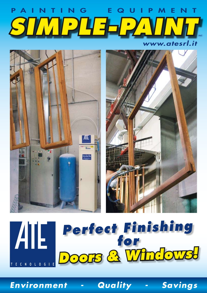# P A I N T I N G E Q U I P M E N T *SIMPLE-PAINT*





# *Perfect Finishing*  ATE *for Doors & Windows!* TECNOLOGIE

*Environment - Quality - Savings*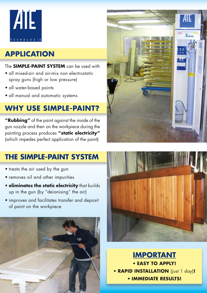

## **APPLICATION**

#### The **SIMPLE-PAINT SYSTEM** can be used with

- all mixed-air and air-mix non electrostatic spray guns (high or low pressure)
- all water-based paints
- all manual and automatic systems

## **WHY USE SIMPLE-PAINT?**

**"Rubbing"** of the paint against the inside of the gun nozzle and then on the workpiece during the painting process produces **"static electricity"** (which impedes perfect application of the paint)



## **THE SIMPLE-PAINT SYSTEM**

- treats the air used by the gun
- removes oil and other impurities
- **eliminates the static electricity** that builds up in the gun (by "deionising" the air)
- improves and facilitates transfer and deposit of paint on the workpiece





**IMPORTANT** • **EASY TO APPLY!** • **RAPID INSTALLATION** (just 1 day)**!** • **IMMEDIATE RESULTS!**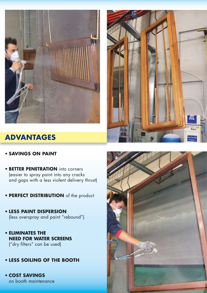



#### **ADVANTAGES**

#### • **SAVINGS ON PAINT**

- **BETTER PENETRATION** into corners (easier to spray paint into any cracks and gaps with a less violent delivery thrust)
- **PERFECT DISTRIBUTION** of the product
- **LESS PAINT DISPERSION**  (less overspray and paint "rebound")
- **ELIMINATES THE NEED FOR WATER SCREENS**  ("dry filters" can be used)
- **LESS SOILING OF THE BOOTH**
- **COST SAVINGS**  on booth maintenance